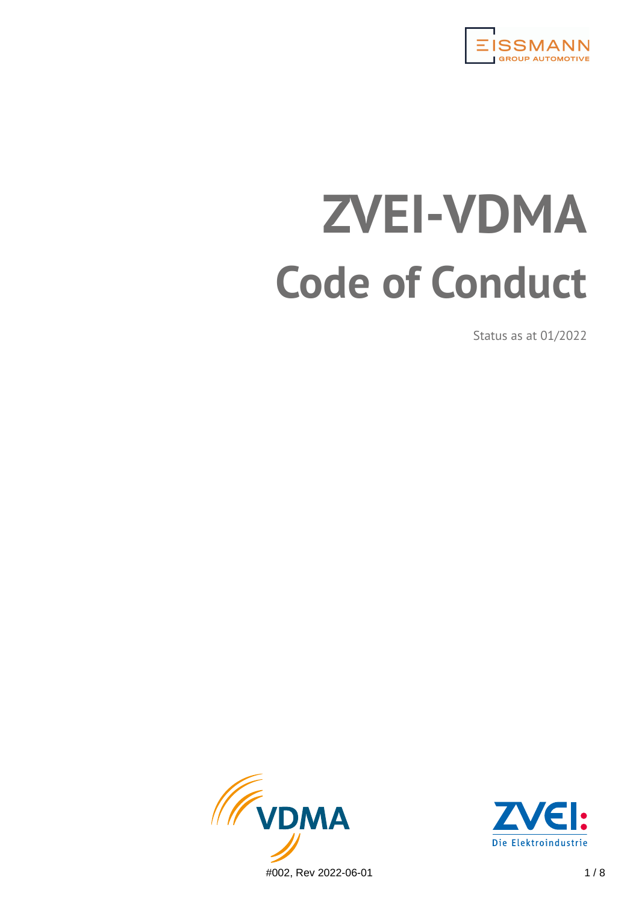

# **ZVEI-VDMA Code of Conduct**

Status as at 01/2022



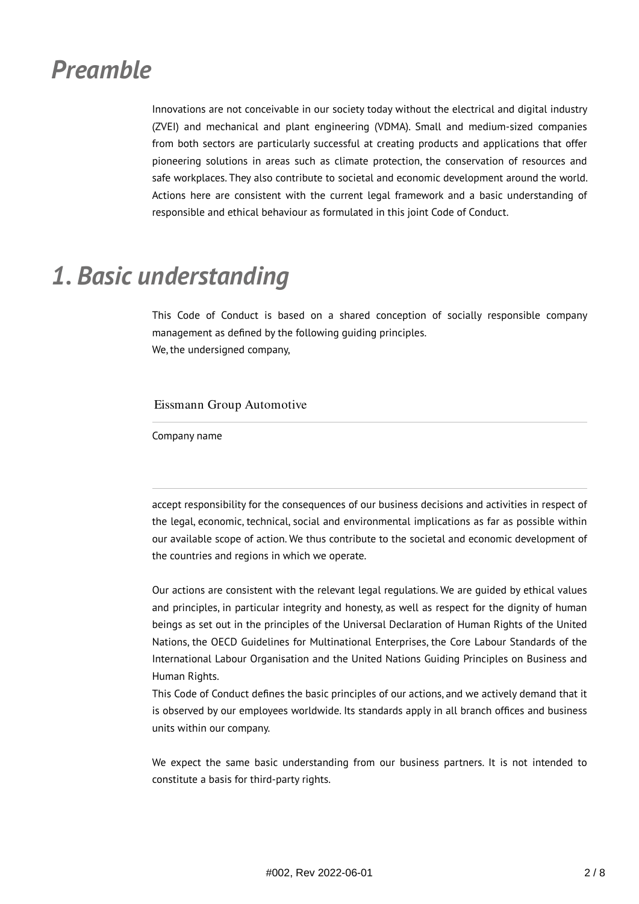## *Preamble*

Innovations are not conceivable in our society today without the electrical and digital industry (ZVEI) and mechanical and plant engineering (VDMA). Small and medium-sized companies from both sectors are particularly successful at creating products and applications that offer pioneering solutions in areas such as climate protection, the conservation of resources and safe workplaces. They also contribute to societal and economic development around the world. Actions here are consistent with the current legal framework and a basic understanding of responsible and ethical behaviour as formulated in this joint Code of Conduct.

# *1. Basic understanding*

This Code of Conduct is based on a shared conception of socially responsible company management as defined by the following guiding principles. We, the undersigned company,

Eissmann Group Automotive

Company name

accept responsibility for the consequences of our business decisions and activities in respect of the legal, economic, technical, social and environmental implications as far as possible within our available scope of action. We thus contribute to the societal and economic development of the countries and regions in which we operate.

Our actions are consistent with the relevant legal regulations. We are guided by ethical values and principles, in particular integrity and honesty, as well as respect for the dignity of human beings as set out in the principles of the Universal Declaration of Human Rights of the United Nations, the OECD Guidelines for Multinational Enterprises, the Core Labour Standards of the International Labour Organisation and the United Nations Guiding Principles on Business and Human Rights.

This Code of Conduct defines the basic principles of our actions, and we actively demand that it is observed by our employees worldwide. Its standards apply in all branch offices and business units within our company.

We expect the same basic understanding from our business partners. It is not intended to constitute a basis for third-party rights.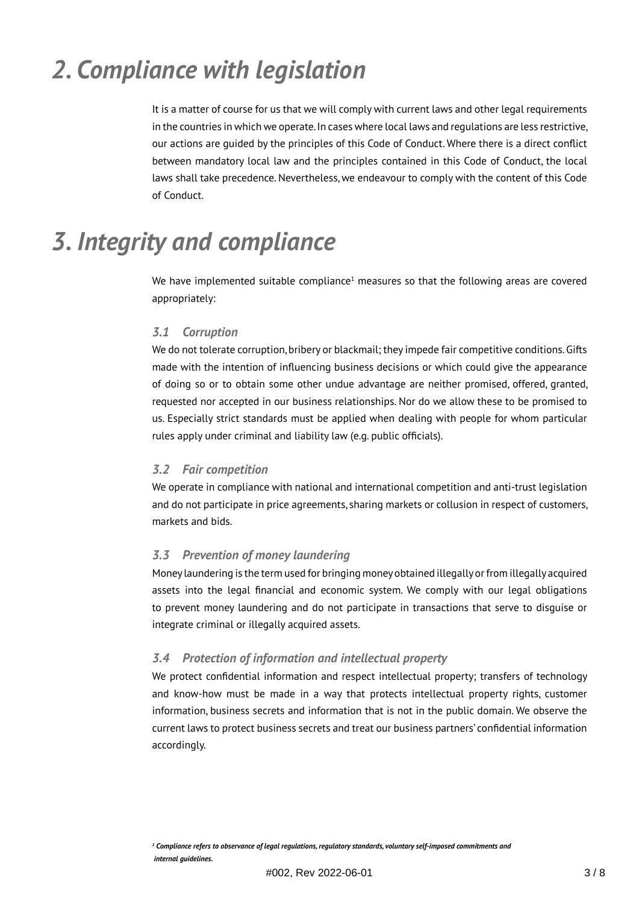# *2. Compliance with legislation*

It is a matter of course for us that we will comply with current laws and other legal requirements in the countries in which we operate. In cases where local laws and regulations are less restrictive, our actions are guided by the principles of this Code of Conduct. Where there is a direct conflict between mandatory local law and the principles contained in this Code of Conduct, the local laws shall take precedence. Nevertheless, we endeavour to comply with the content of this Code of Conduct.

# *3. Integrity and compliance*

We have implemented suitable compliance<sup>1</sup> measures so that the following areas are covered appropriately:

#### *3.1 Corruption*

We do not tolerate corruption, bribery or blackmail; they impede fair competitive conditions. Gifts made with the intention of influencing business decisions or which could give the appearance of doing so or to obtain some other undue advantage are neither promised, offered, granted, requested nor accepted in our business relationships. Nor do we allow these to be promised to us. Especially strict standards must be applied when dealing with people for whom particular rules apply under criminal and liability law (e.g. public officials).

#### *3.2 Fair competition*

We operate in compliance with national and international competition and anti-trust legislation and do not participate in price agreements, sharing markets or collusion in respect of customers, markets and bids.

#### *3.3 Prevention of money laundering*

Money laundering is the term used for bringing money obtained illegally or from illegally acquired assets into the legal financial and economic system. We comply with our legal obligations to prevent money laundering and do not participate in transactions that serve to disguise or integrate criminal or illegally acquired assets.

#### *3.4 Protection of information and intellectual property*

We protect confidential information and respect intellectual property; transfers of technology and know-how must be made in a way that protects intellectual property rights, customer information, business secrets and information that is not in the public domain. We observe the current laws to protect business secrets and treat our business partners' confidential information accordingly.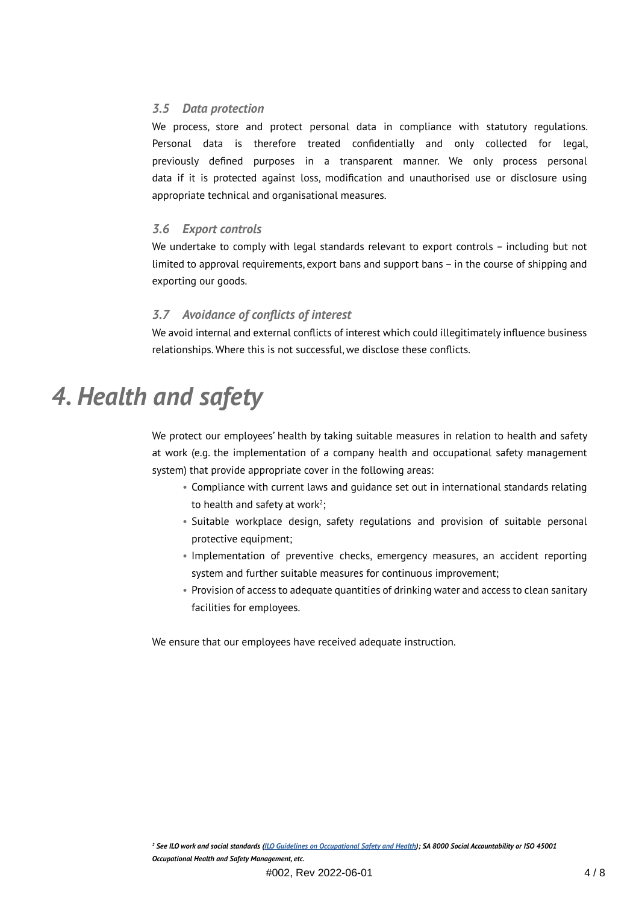#### *3.5 Data protection*

We process, store and protect personal data in compliance with statutory regulations. Personal data is therefore treated confidentially and only collected for legal, previously defined purposes in a transparent manner. We only process personal data if it is protected against loss, modification and unauthorised use or disclosure using appropriate technical and organisational measures.

#### *3.6 Export controls*

We undertake to comply with legal standards relevant to export controls – including but not limited to approval requirements, export bans and support bans – in the course of shipping and exporting our goods.

#### *3.7 Avoidance of conflicts of interest*

We avoid internal and external conflicts of interest which could illegitimately influence business relationships. Where this is not successful, we disclose these conflicts.

### *4. Health and safety*

We protect our employees' health by taking suitable measures in relation to health and safety at work (e.g. the implementation of a company health and occupational safety management system) that provide appropriate cover in the following areas:

- Compliance with current laws and guidance set out in international standards relating to health and safety at work<sup>2</sup>;
	- Suitable workplace design, safety regulations and provision of suitable personal protective equipment;
	- Implementation of preventive checks, emergency measures, an accident reporting system and further suitable measures for continuous improvement;
	- Provision of access to adequate quantities of drinking water and access to clean sanitary facilities for employees.

We ensure that our employees have received adequate instruction.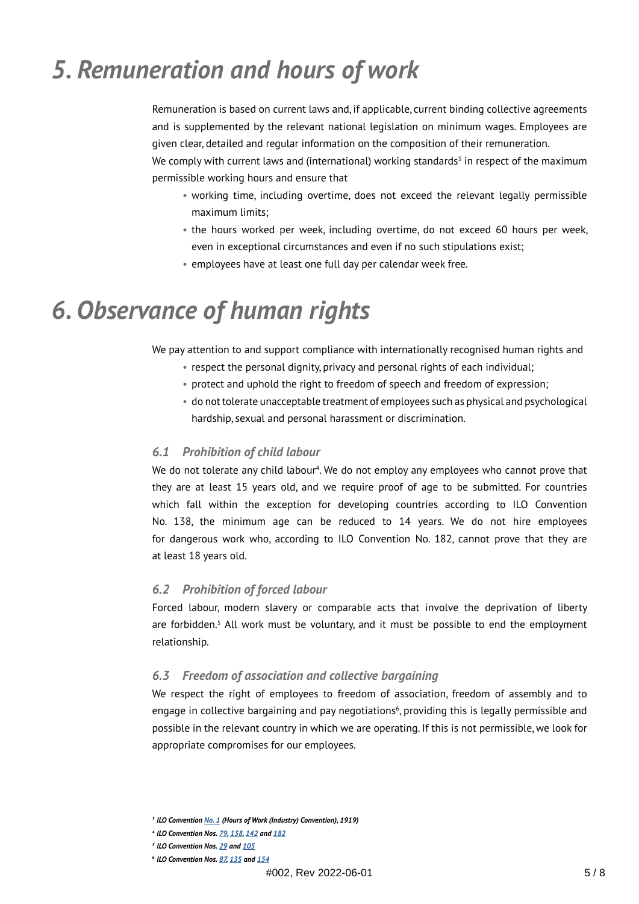# *5. Remuneration and hours of work*

Remuneration is based on current laws and, if applicable, current binding collective agreements and is supplemented by the relevant national legislation on minimum wages. Employees are given clear, detailed and regular information on the composition of their remuneration.

We comply with current laws and (international) working standards $^3$  in respect of the maximum permissible working hours and ensure that

- working time, including overtime, does not exceed the relevant legally permissible maximum limits;
- the hours worked per week, including overtime, do not exceed 60 hours per week, even in exceptional circumstances and even if no such stipulations exist;
- employees have at least one full day per calendar week free.

# *6. Observance of human rights*

We pay attention to and support compliance with internationally recognised human rights and

- respect the personal dignity, privacy and personal rights of each individual;
- protect and uphold the right to freedom of speech and freedom of expression;
- do not tolerate unacceptable treatment of employees such as physical and psychological hardship, sexual and personal harassment or discrimination.

#### *6.1 Prohibition of child labour*

We do not tolerate any child labour<sup>4</sup>. We do not employ any employees who cannot prove that they are at least 15 years old, and we require proof of age to be submitted. For countries which fall within the exception for developing countries according to ILO Convention No. 138, the minimum age can be reduced to 14 years. We do not hire employees for dangerous work who, according to ILO Convention No. 182, cannot prove that they are at least 18 years old.

#### *6.2 Prohibition of forced labour*

Forced labour, modern slavery or comparable acts that involve the deprivation of liberty are forbidden.<sup>5</sup> All work must be voluntary, and it must be possible to end the employment relationship.

#### *6.3 Freedom of association and collective bargaining*

We respect the right of employees to freedom of association, freedom of assembly and to engage in collective bargaining and pay negotiations<sup>6</sup>, providing this is legally permissible and possible in the relevant country in which we are operating. If this is not permissible, we look for appropriate compromises for our employees.

*<sup>3</sup>ILO Convention [No. 1](https://www.ilo.org/dyn/normlex/en/f?p=NORMLEXPUB:12100:0::NO::P12100_INSTRUMENT_ID:312146) (Hours of Work (Industry) Convention), 1919)*

*<sup>4</sup>ILO Convention Nos. [79,](https://www.ilo.org/dyn/normlex/en/f?p=NORMLEXPUB:12100:0::NO::P12100_ILO_CODE:C079) [138](https://www.ilo.org/dyn/normlex/en/f?p=NORMLEXPUB:12100:0::NO::P12100_ILO_CODE:C138), [142](https://www.ilo.org/dyn/normlex/en/f?p=NORMLEXPUB:12100:0::NO::P12100_ILO_CODE:C142) and [182](https://www.ilo.org/dyn/normlex/en/f?p=NORMLEXPUB:12100:0::NO::P12100_ILO_CODE:C182)*

*<sup>5</sup>ILO Convention Nos. [29](https://www.ilo.org/dyn/normlex/en/f?p=NORMLEXPUB:12100:0::NO::P12100_ILO_CODE:C029) and [105](https://www.ilo.org/dyn/normlex/en/f?p=1000:12100:0::NO::P12100_ILO_CODE:C105)*

*<sup>6</sup>ILO Convention Nos. [87](https://www.ilo.org/dyn/normlex/en/f?p=NORMLEXPUB:12100:0::NO::p12100_instrument_id:312232), [135](https://www.ilo.org/dyn/normlex/en/f?p=NORMLEXPUB:12100:0::NO::P12100_INSTRUMENT_ID:312280) and [154](https://www.ilo.org/dyn/normlex/en/f?p=NORMLEXPUB:12100:0::NO::P12100_INSTRUMENT_ID:312299)*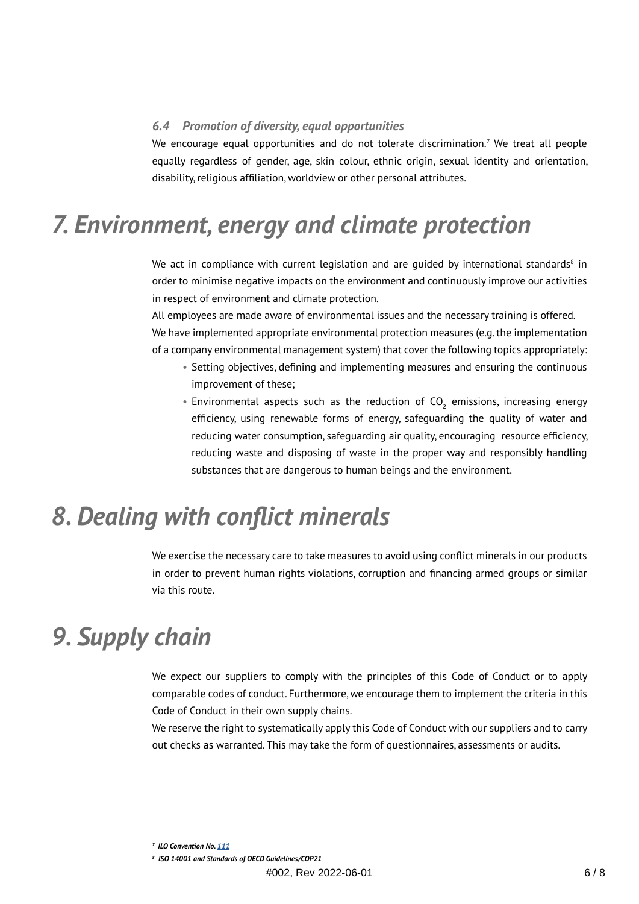#### *6.4 Promotion of diversity, equal opportunities*

We encourage equal opportunities and do not tolerate discrimination.<sup>7</sup> We treat all people equally regardless of gender, age, skin colour, ethnic origin, sexual identity and orientation, disability, religious affiliation, worldview or other personal attributes.

### *7. Environment, energy and climate protection*

We act in compliance with current legislation and are guided by international standards ${}^{\rm 8}$  in order to minimise negative impacts on the environment and continuously improve our activities in respect of environment and climate protection.

All employees are made aware of environmental issues and the necessary training is offered. We have implemented appropriate environmental protection measures (e.g. the implementation of a company environmental management system) that cover the following topics appropriately:

- Setting objectives, defining and implementing measures and ensuring the continuous improvement of these;
- Environmental aspects such as the reduction of  $CO<sub>2</sub>$  emissions, increasing energy efficiency, using renewable forms of energy, safeguarding the quality of water and reducing water consumption, safeguarding air quality, encouraging resource efficiency, reducing waste and disposing of waste in the proper way and responsibly handling substances that are dangerous to human beings and the environment.

## *8. Dealing with conflict minerals*

We exercise the necessary care to take measures to avoid using conflict minerals in our products in order to prevent human rights violations, corruption and financing armed groups or similar via this route.

### *9. Supply chain*

We expect our suppliers to comply with the principles of this Code of Conduct or to apply comparable codes of conduct. Furthermore, we encourage them to implement the criteria in this Code of Conduct in their own supply chains.

We reserve the right to systematically apply this Code of Conduct with our suppliers and to carry out checks as warranted. This may take the form of questionnaires, assessments or audits.

*<sup>7</sup> ILO Convention No. [111](https://www.ilo.org/dyn/normlex/en/f?p=NORMLEXPUB:12100:0::NO::P12100_ILO_CODE:C111)*

*<sup>8</sup> ISO 14001 and Standards of OECD Guidelines/COP21*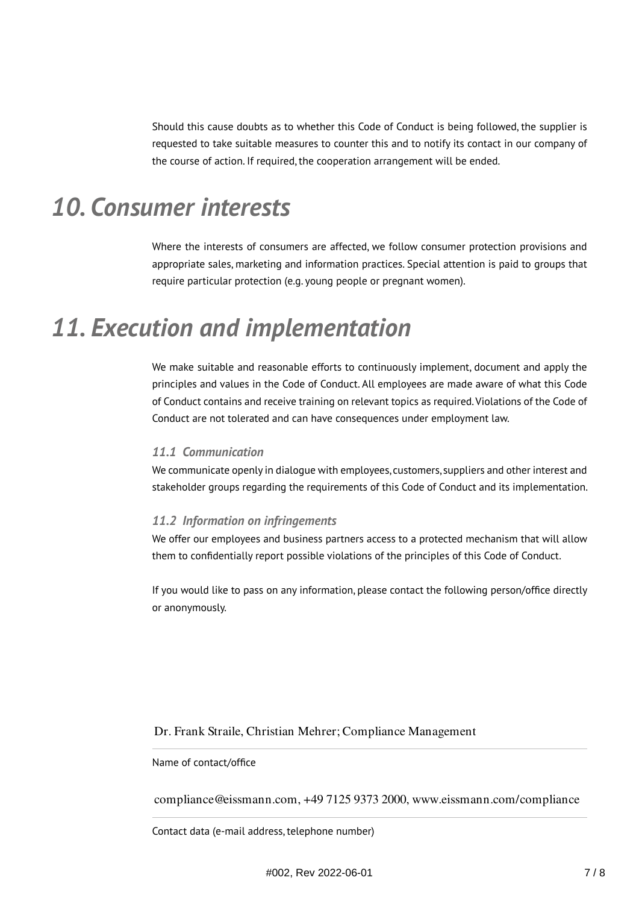Should this cause doubts as to whether this Code of Conduct is being followed, the supplier is requested to take suitable measures to counter this and to notify its contact in our company of the course of action. If required, the cooperation arrangement will be ended.

## *10. Consumer interests*

Where the interests of consumers are affected, we follow consumer protection provisions and appropriate sales, marketing and information practices. Special attention is paid to groups that require particular protection (e.g. young people or pregnant women).

### *11. Execution and implementation*

We make suitable and reasonable efforts to continuously implement, document and apply the principles and values in the Code of Conduct. All employees are made aware of what this Code of Conduct contains and receive training on relevant topics as required. Violations of the Code of Conduct are not tolerated and can have consequences under employment law.

#### *11.1 Communication*

We communicate openly in dialogue with employees, customers, suppliers and other interest and stakeholder groups regarding the requirements of this Code of Conduct and its implementation.

#### *11.2 Information on infringements*

We offer our employees and business partners access to a protected mechanism that will allow them to confidentially report possible violations of the principles of this Code of Conduct.

If you would like to pass on any information, please contact the following person/office directly or anonymously.

Dr. Frank Straile, Christian Mehrer; Compliance Management

#### Name of contact/office

compliance@eissmann.com, +49 7125 9373 2000, www.eissmann.com/compliance

Contact data (e-mail address, telephone number)